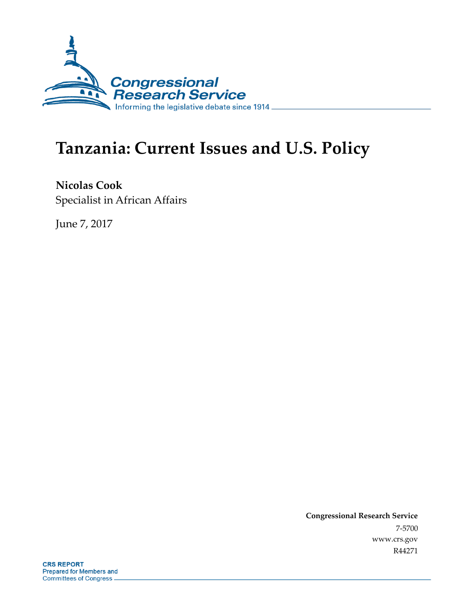

# **Tanzania: Current Issues and U.S. Policy**

**Nicolas Cook** Specialist in African Affairs

June 7, 2017

**Congressional Research Service** 7-5700 www.crs.gov R44271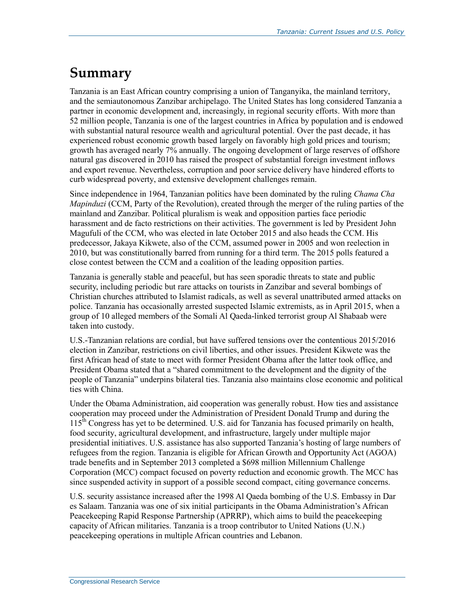# **Summary**

Tanzania is an East African country comprising a union of Tanganyika, the mainland territory, and the semiautonomous Zanzibar archipelago. The United States has long considered Tanzania a partner in economic development and, increasingly, in regional security efforts. With more than 52 million people, Tanzania is one of the largest countries in Africa by population and is endowed with substantial natural resource wealth and agricultural potential. Over the past decade, it has experienced robust economic growth based largely on favorably high gold prices and tourism; growth has averaged nearly 7% annually. The ongoing development of large reserves of offshore natural gas discovered in 2010 has raised the prospect of substantial foreign investment inflows and export revenue. Nevertheless, corruption and poor service delivery have hindered efforts to curb widespread poverty, and extensive development challenges remain.

Since independence in 1964, Tanzanian politics have been dominated by the ruling *Chama Cha Mapinduzi* (CCM, Party of the Revolution), created through the merger of the ruling parties of the mainland and Zanzibar. Political pluralism is weak and opposition parties face periodic harassment and de facto restrictions on their activities. The government is led by President John Magufuli of the CCM, who was elected in late October 2015 and also heads the CCM. His predecessor, Jakaya Kikwete, also of the CCM, assumed power in 2005 and won reelection in 2010, but was constitutionally barred from running for a third term. The 2015 polls featured a close contest between the CCM and a coalition of the leading opposition parties.

Tanzania is generally stable and peaceful, but has seen sporadic threats to state and public security, including periodic but rare attacks on tourists in Zanzibar and several bombings of Christian churches attributed to Islamist radicals, as well as several unattributed armed attacks on police. Tanzania has occasionally arrested suspected Islamic extremists, as in April 2015, when a group of 10 alleged members of the Somali Al Qaeda-linked terrorist group Al Shabaab were taken into custody.

U.S.-Tanzanian relations are cordial, but have suffered tensions over the contentious 2015/2016 election in Zanzibar, restrictions on civil liberties, and other issues. President Kikwete was the first African head of state to meet with former President Obama after the latter took office, and President Obama stated that a "shared commitment to the development and the dignity of the people of Tanzania" underpins bilateral ties. Tanzania also maintains close economic and political ties with China.

Under the Obama Administration, aid cooperation was generally robust. How ties and assistance cooperation may proceed under the Administration of President Donald Trump and during the  $115<sup>th</sup>$  Congress has yet to be determined. U.S. aid for Tanzania has focused primarily on health, food security, agricultural development, and infrastructure, largely under multiple major presidential initiatives. U.S. assistance has also supported Tanzania's hosting of large numbers of refugees from the region. Tanzania is eligible for African Growth and Opportunity Act (AGOA) trade benefits and in September 2013 completed a \$698 million Millennium Challenge Corporation (MCC) compact focused on poverty reduction and economic growth. The MCC has since suspended activity in support of a possible second compact, citing governance concerns.

U.S. security assistance increased after the 1998 Al Qaeda bombing of the U.S. Embassy in Dar es Salaam. Tanzania was one of six initial participants in the Obama Administration's African Peacekeeping Rapid Response Partnership (APRRP), which aims to build the peacekeeping capacity of African militaries. Tanzania is a troop contributor to United Nations (U.N.) peacekeeping operations in multiple African countries and Lebanon.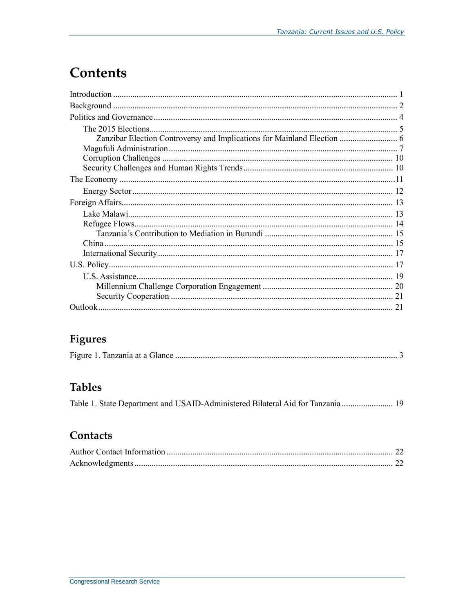# **Contents**

| Zanzibar Election Controversy and Implications for Mainland Election  6 |
|-------------------------------------------------------------------------|
|                                                                         |
|                                                                         |
|                                                                         |
|                                                                         |
|                                                                         |
|                                                                         |
|                                                                         |
|                                                                         |
|                                                                         |
|                                                                         |
|                                                                         |
|                                                                         |
|                                                                         |
|                                                                         |
|                                                                         |
|                                                                         |

## **Figures**

## **Tables**

|  |  |  |  | Table 1. State Department and USAID-Administered Bilateral Aid for Tanzania  19 |  |
|--|--|--|--|---------------------------------------------------------------------------------|--|
|--|--|--|--|---------------------------------------------------------------------------------|--|

## Contacts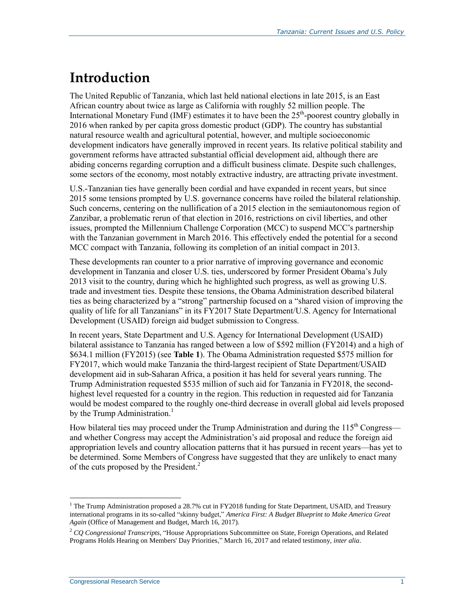# **Introduction**

The United Republic of Tanzania, which last held national elections in late 2015, is an East African country about twice as large as California with roughly 52 million people. The International Monetary Fund (IMF) estimates it to have been the 25<sup>th</sup>-poorest country globally in 2016 when ranked by per capita gross domestic product (GDP). The country has substantial natural resource wealth and agricultural potential, however, and multiple socioeconomic development indicators have generally improved in recent years. Its relative political stability and government reforms have attracted substantial official development aid, although there are abiding concerns regarding corruption and a difficult business climate. Despite such challenges, some sectors of the economy, most notably extractive industry, are attracting private investment.

U.S.-Tanzanian ties have generally been cordial and have expanded in recent years, but since 2015 some tensions prompted by U.S. governance concerns have roiled the bilateral relationship. Such concerns, centering on the nullification of a 2015 election in the semiautonomous region of Zanzibar, a problematic rerun of that election in 2016, restrictions on civil liberties, and other issues, prompted the Millennium Challenge Corporation (MCC) to suspend MCC's partnership with the Tanzanian government in March 2016. This effectively ended the potential for a second MCC compact with Tanzania, following its completion of an initial compact in 2013.

These developments ran counter to a prior narrative of improving governance and economic development in Tanzania and closer U.S. ties, underscored by former President Obama's July 2013 visit to the country, during which he highlighted such progress, as well as growing U.S. trade and investment ties. Despite these tensions, the Obama Administration described bilateral ties as being characterized by a "strong" partnership focused on a "shared vision of improving the quality of life for all Tanzanians" in its FY2017 State Department/U.S. Agency for International Development (USAID) foreign aid budget submission to Congress.

In recent years, State Department and U.S. Agency for International Development (USAID) bilateral assistance to Tanzania has ranged between a low of \$592 million (FY2014) and a high of \$634.1 million (FY2015) (see **[Table 1](#page-21-0)**). The Obama Administration requested \$575 million for FY2017, which would make Tanzania the third-largest recipient of State Department/USAID development aid in sub-Saharan Africa, a position it has held for several years running. The Trump Administration requested \$535 million of such aid for Tanzania in FY2018, the secondhighest level requested for a country in the region. This reduction in requested aid for Tanzania would be modest compared to the roughly one-third decrease in overall global aid levels proposed by the Trump Administration.<sup>1</sup>

How bilateral ties may proceed under the Trump Administration and during the  $115<sup>th</sup>$  Congress and whether Congress may accept the Administration's aid proposal and reduce the foreign aid appropriation levels and country allocation patterns that it has pursued in recent years—has yet to be determined. Some Members of Congress have suggested that they are unlikely to enact many of the cuts proposed by the President.<sup>2</sup>

<sup>&</sup>lt;sup>1</sup> The Trump Administration proposed a 28.7% cut in FY2018 funding for State Department, USAID, and Treasury international programs in its so-called "skinny budget," *America First: A Budget Blueprint to Make America Great Again* (Office of Management and Budget, March 16, 2017).

<sup>2</sup> *CQ Congressional Transcripts*, "House Appropriations Subcommittee on State, Foreign Operations, and Related Programs Holds Hearing on Members' Day Priorities," March 16, 2017 and related testimony, *inter alia*.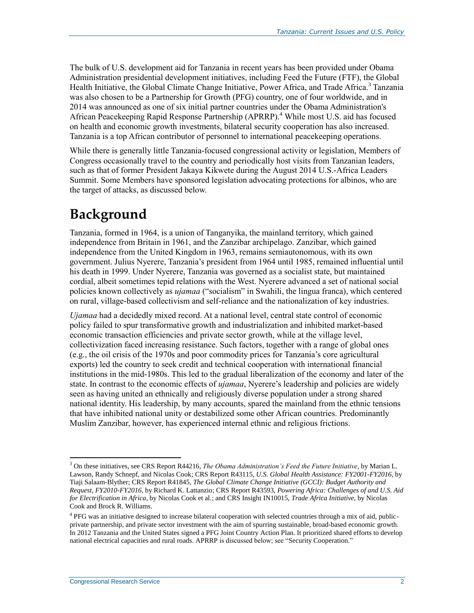The bulk of U.S. development aid for Tanzania in recent years has been provided under Obama Administration presidential development initiatives, including Feed the Future (FTF), the Global Health Initiative, the Global Climate Change Initiative, Power Africa, and Trade Africa.<sup>3</sup> Tanzania was also chosen to be a Partnership for Growth (PFG) country, one of four worldwide, and in 2014 was announced as one of six initial partner countries under the Obama Administration's African Peacekeeping Rapid Response Partnership (APRRP). <sup>4</sup> While most U.S. aid has focused on health and economic growth investments, bilateral security cooperation has also increased. Tanzania is a top African contributor of personnel to international peacekeeping operations.

While there is generally little Tanzania-focused congressional activity or legislation, Members of Congress occasionally travel to the country and periodically host visits from Tanzanian leaders, such as that of former President Jakaya Kikwete during the August 2014 U.S.-Africa Leaders Summit. Some Members have sponsored legislation advocating protections for albinos, who are the target of attacks, as discussed below.

# **Background**

Tanzania, formed in 1964, is a union of Tanganyika, the mainland territory, which gained independence from Britain in 1961, and the Zanzibar archipelago. Zanzibar, which gained independence from the United Kingdom in 1963, remains semiautonomous, with its own government. Julius Nyerere, Tanzania's president from 1964 until 1985, remained influential until his death in 1999. Under Nyerere, Tanzania was governed as a socialist state, but maintained cordial, albeit sometimes tepid relations with the West. Nyerere advanced a set of national social policies known collectively as *ujamaa* ("socialism" in Swahili, the lingua franca), which centered on rural, village-based collectivism and self-reliance and the nationalization of key industries.

*Ujamaa* had a decidedly mixed record. At a national level, central state control of economic policy failed to spur transformative growth and industrialization and inhibited market-based economic transaction efficiencies and private sector growth, while at the village level, collectivization faced increasing resistance. Such factors, together with a range of global ones (e.g., the oil crisis of the 1970s and poor commodity prices for Tanzania's core agricultural exports) led the country to seek credit and technical cooperation with international financial institutions in the mid-1980s. This led to the gradual liberalization of the economy and later of the state. In contrast to the economic effects of *ujamaa*, Nyerere's leadership and policies are widely seen as having united an ethnically and religiously diverse population under a strong shared national identity. His leadership, by many accounts, spared the mainland from the ethnic tensions that have inhibited national unity or destabilized some other African countries. Predominantly Muslim Zanzibar, however, has experienced internal ethnic and religious frictions.

 $\overline{a}$ <sup>3</sup> On these initiatives, see CRS Report R44216, *The Obama Administration's Feed the Future Initiative*, by Marian L. Lawson, Randy Schnepf, and Nicolas Cook; CRS Report R43115, *U.S. Global Health Assistance: FY2001-FY2016*, by Tiaji Salaam-Blyther; CRS Report R41845, *The Global Climate Change Initiative (GCCI): Budget Authority and Request, FY2010-FY2016*, by Richard K. Lattanzio; CRS Report R43593, *Powering Africa: Challenges of and U.S. Aid for Electrification in Africa*, by Nicolas Cook et al.; and CRS Insight IN10015, *Trade Africa Initiative*, by Nicolas Cook and Brock R. Williams.

<sup>&</sup>lt;sup>4</sup> PFG was an initiative designed to increase bilateral cooperation with selected countries through a mix of aid, publicprivate partnership, and private sector investment with the aim of spurring sustainable, broad-based economic growth. In 2012 Tanzania and the United States signed a PFG Joint Country Action Plan. It prioritized shared efforts to develop national electrical capacities and rural roads. APRRP is discussed below; see ["Security Cooperation."](#page-23-0)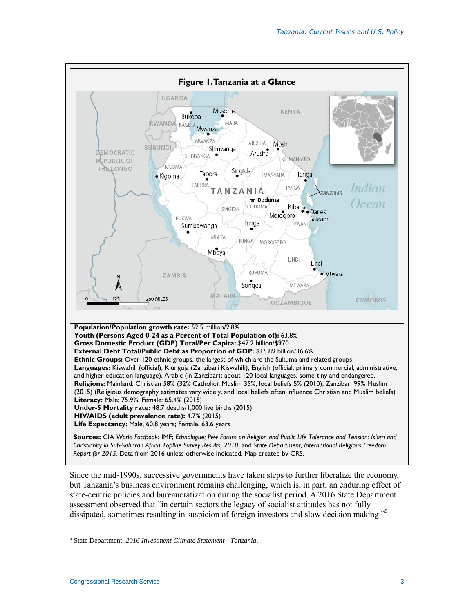

Since the mid-1990s, successive governments have taken steps to further liberalize the economy, but Tanzania's business environment remains challenging, which is, in part, an enduring effect of state-centric policies and bureaucratization during the socialist period. A 2016 State Department assessment observed that "in certain sectors the legacy of socialist attitudes has not fully dissipated, sometimes resulting in suspicion of foreign investors and slow decision making."<sup>5</sup>

 $\overline{a}$ 5 State Department, *2016 Investment Climate Statement - Tanzania*.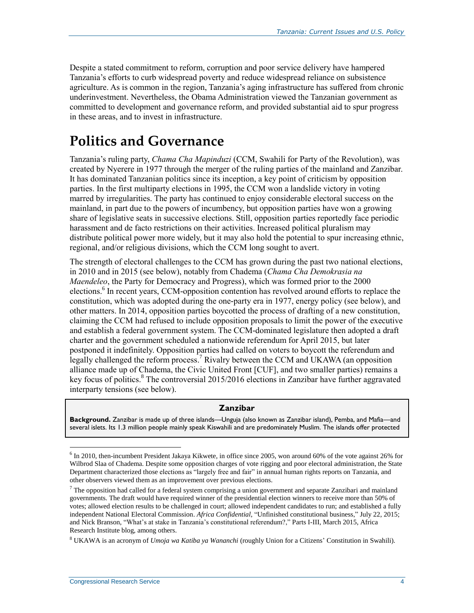Despite a stated commitment to reform, corruption and poor service delivery have hampered Tanzania's efforts to curb widespread poverty and reduce widespread reliance on subsistence agriculture. As is common in the region, Tanzania's aging infrastructure has suffered from chronic underinvestment. Nevertheless, the Obama Administration viewed the Tanzanian government as committed to development and governance reform, and provided substantial aid to spur progress in these areas, and to invest in infrastructure.

# **Politics and Governance**

Tanzania's ruling party, *Chama Cha Mapinduzi* (CCM, Swahili for Party of the Revolution), was created by Nyerere in 1977 through the merger of the ruling parties of the mainland and Zanzibar. It has dominated Tanzanian politics since its inception, a key point of criticism by opposition parties. In the first multiparty elections in 1995, the CCM won a landslide victory in voting marred by irregularities. The party has continued to enjoy considerable electoral success on the mainland, in part due to the powers of incumbency, but opposition parties have won a growing share of legislative seats in successive elections. Still, opposition parties reportedly face periodic harassment and de facto restrictions on their activities. Increased political pluralism may distribute political power more widely, but it may also hold the potential to spur increasing ethnic, regional, and/or religious divisions, which the CCM long sought to avert.

The strength of electoral challenges to the CCM has grown during the past two national elections, in 2010 and in 2015 (see below), notably from Chadema (*Chama Cha Demokrasia na Maendeleo*, the Party for Democracy and Progress), which was formed prior to the 2000 elections.<sup>6</sup> In recent years, CCM-opposition contention has revolved around efforts to replace the constitution, which was adopted during the one-party era in 1977, energy policy (see below), and other matters. In 2014, opposition parties boycotted the process of drafting of a new constitution, claiming the CCM had refused to include opposition proposals to limit the power of the executive and establish a federal government system. The CCM-dominated legislature then adopted a draft charter and the government scheduled a nationwide referendum for April 2015, but later postponed it indefinitely. Opposition parties had called on voters to boycott the referendum and legally challenged the reform process.<sup>7</sup> Rivalry between the CCM and UKAWA (an opposition alliance made up of Chadema, the Civic United Front [CUF], and two smaller parties) remains a key focus of politics.<sup>8</sup> The controversial 2015/2016 elections in Zanzibar have further aggravated interparty tensions (see below).

#### **Zanzibar**

**Background.** Zanzibar is made up of three islands—Unguja (also known as Zanzibar island), Pemba, and Mafia—and several islets. Its 1.3 million people mainly speak Kiswahili and are predominately Muslim. The islands offer protected

<sup>&</sup>lt;sup>6</sup> In 2010, then-incumbent President Jakaya Kikwete, in office since 2005, won around 60% of the vote against 26% for Wilbrod Slaa of Chadema. Despite some opposition charges of vote rigging and poor electoral administration, the State Department characterized those elections as "largely free and fair" in annual human rights reports on Tanzania, and other observers viewed them as an improvement over previous elections.

 $7$  The opposition had called for a federal system comprising a union government and separate Zanzibari and mainland governments. The draft would have required winner of the presidential election winners to receive more than 50% of votes; allowed election results to be challenged in court; allowed independent candidates to run; and established a fully independent National Electoral Commission. *Africa Confidential*, "Unfinished constitutional business," July 22, 2015; and Nick Branson, "What's at stake in Tanzania's constitutional referendum?," Parts I-III, March 2015, Africa Research Institute blog, among others.

<sup>8</sup> UKAWA is an acronym of *Umoja wa Katiba ya Wananchi* (roughly Union for a Citizens' Constitution in Swahili).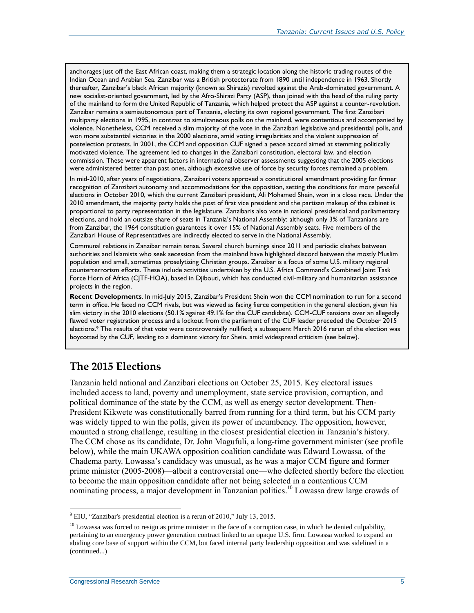anchorages just off the East African coast, making them a strategic location along the historic trading routes of the Indian Ocean and Arabian Sea. Zanzibar was a British protectorate from 1890 until independence in 1963. Shortly thereafter, Zanzibar's black African majority (known as Shirazis) revolted against the Arab-dominated government. A new socialist-oriented government, led by the Afro-Shirazi Party (ASP), then joined with the head of the ruling party of the mainland to form the United Republic of Tanzania, which helped protect the ASP against a counter-revolution. Zanzibar remains a semiautonomous part of Tanzania, electing its own regional government. The first Zanzibari multiparty elections in 1995, in contrast to simultaneous polls on the mainland, were contentious and accompanied by violence. Nonetheless, CCM received a slim majority of the vote in the Zanzibari legislative and presidential polls, and won more substantial victories in the 2000 elections, amid voting irregularities and the violent suppression of postelection protests. In 2001, the CCM and opposition CUF signed a peace accord aimed at stemming politically motivated violence. The agreement led to changes in the Zanzibari constitution, electoral law, and election commission. These were apparent factors in international observer assessments suggesting that the 2005 elections were administered better than past ones, although excessive use of force by security forces remained a problem.

In mid-2010, after years of negotiations, Zanzibari voters approved a constitutional amendment providing for firmer recognition of Zanzibari autonomy and accommodations for the opposition, setting the conditions for more peaceful elections in October 2010, which the current Zanzibari president, Ali Mohamed Shein, won in a close race. Under the 2010 amendment, the majority party holds the post of first vice president and the partisan makeup of the cabinet is proportional to party representation in the legislature. Zanzibaris also vote in national presidential and parliamentary elections, and hold an outsize share of seats in Tanzania's National Assembly: although only 3% of Tanzanians are from Zanzibar, the 1964 constitution guarantees it over 15% of National Assembly seats. Five members of the Zanzibari House of Representatives are indirectly elected to serve in the National Assembly.

Communal relations in Zanzibar remain tense. Several church burnings since 2011 and periodic clashes between authorities and Islamists who seek secession from the mainland have highlighted discord between the mostly Muslim population and small, sometimes proselytizing Christian groups. Zanzibar is a focus of some U.S. military regional counterterrorism efforts. These include activities undertaken by the U.S. Africa Command's Combined Joint Task Force Horn of Africa (CJTF-HOA), based in Djibouti, which has conducted civil-military and humanitarian assistance projects in the region.

**Recent Developments**. In mid-July 2015, Zanzibar's President Shein won the CCM nomination to run for a second term in office. He faced no CCM rivals, but was viewed as facing fierce competition in the general election, given his slim victory in the 2010 elections (50.1% against 49.1% for the CUF candidate). CCM-CUF tensions over an allegedly flawed voter registration process and a lockout from the parliament of the CUF leader preceded the October 2015 elections. <sup>9</sup> The results of that vote were controversially nullified; a subsequent March 2016 rerun of the election was boycotted by the CUF, leading to a dominant victory for Shein, amid widespread criticism (see below).

## **The 2015 Elections**

Tanzania held national and Zanzibari elections on October 25, 2015. Key electoral issues included access to land, poverty and unemployment, state service provision, corruption, and political dominance of the state by the CCM, as well as energy sector development. Then-President Kikwete was constitutionally barred from running for a third term, but his CCM party was widely tipped to win the polls, given its power of incumbency. The opposition, however, mounted a strong challenge, resulting in the closest presidential election in Tanzania's history. The CCM chose as its candidate, Dr. John Magufuli, a long-time government minister (see profile below), while the main UKAWA opposition coalition candidate was Edward Lowassa, of the Chadema party. Lowassa's candidacy was unusual, as he was a major CCM figure and former prime minister (2005-2008)—albeit a controversial one—who defected shortly before the election to become the main opposition candidate after not being selected in a contentious CCM nominating process, a major development in Tanzanian politics. <sup>10</sup> Lowassa drew large crowds of

<sup>9</sup> EIU, "Zanzibar's presidential election is a rerun of 2010," July 13, 2015.

 $10$  Lowassa was forced to resign as prime minister in the face of a corruption case, in which he denied culpability, pertaining to an emergency power generation contract linked to an opaque U.S. firm. Lowassa worked to expand an abiding core base of support within the CCM, but faced internal party leadership opposition and was sidelined in a (continued...)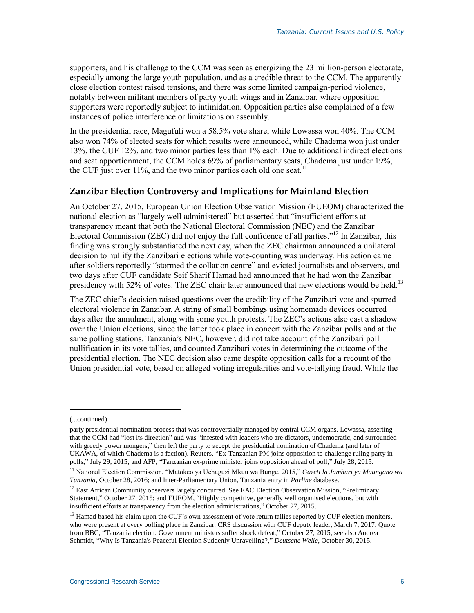supporters, and his challenge to the CCM was seen as energizing the 23 million-person electorate, especially among the large youth population, and as a credible threat to the CCM. The apparently close election contest raised tensions, and there was some limited campaign-period violence, notably between militant members of party youth wings and in Zanzibar, where opposition supporters were reportedly subject to intimidation. Opposition parties also complained of a few instances of police interference or limitations on assembly.

In the presidential race, Magufuli won a 58.5% vote share, while Lowassa won 40%. The CCM also won 74% of elected seats for which results were announced, while Chadema won just under 13%, the CUF 12%, and two minor parties less than 1% each. Due to additional indirect elections and seat apportionment, the CCM holds 69% of parliamentary seats, Chadema just under 19%, the CUF just over 11%, and the two minor parties each old one seat.<sup>11</sup>

#### **Zanzibar Election Controversy and Implications for Mainland Election**

An October 27, 2015, European Union Election Observation Mission (EUEOM) characterized the national election as "largely well administered" but asserted that "insufficient efforts at transparency meant that both the National Electoral Commission (NEC) and the Zanzibar Electoral Commission (ZEC) did not enjoy the full confidence of all parties."<sup>12</sup> In Zanzibar, this finding was strongly substantiated the next day, when the ZEC chairman announced a unilateral decision to nullify the Zanzibari elections while vote-counting was underway. His action came after soldiers reportedly "stormed the collation centre" and evicted journalists and observers, and two days after CUF candidate Seif Sharif Hamad had announced that he had won the Zanzibar presidency with 52% of votes. The ZEC chair later announced that new elections would be held.<sup>13</sup>

The ZEC chief's decision raised questions over the credibility of the Zanzibari vote and spurred electoral violence in Zanzibar. A string of small bombings using homemade devices occurred days after the annulment, along with some youth protests. The ZEC's actions also cast a shadow over the Union elections, since the latter took place in concert with the Zanzibar polls and at the same polling stations. Tanzania's NEC, however, did not take account of the Zanzibari poll nullification in its vote tallies, and counted Zanzibari votes in determining the outcome of the presidential election. The NEC decision also came despite opposition calls for a recount of the Union presidential vote, based on alleged voting irregularities and vote-tallying fraud. While the

<sup>(...</sup>continued)

party presidential nomination process that was controversially managed by central CCM organs. Lowassa, asserting that the CCM had "lost its direction" and was "infested with leaders who are dictators, undemocratic, and surrounded with greedy power mongers," then left the party to accept the presidential nomination of Chadema (and later of UKAWA, of which Chadema is a faction). Reuters, "Ex-Tanzanian PM joins opposition to challenge ruling party in polls," July 29, 2015; and AFP, "Tanzanian ex-prime minister joins opposition ahead of poll," July 28, 2015.

<sup>11</sup> National Election Commission, "Matokeo ya Uchaguzi Mkuu wa Bunge, 2015," *Gazeti la Jamhuri ya Muungano wa Tanzania*, October 28, 2016; and Inter-Parliamentary Union, Tanzania entry in *Parline* database.

<sup>&</sup>lt;sup>12</sup> East African Community observers largely concurred. See EAC Election Observation Mission, "Preliminary Statement," October 27, 2015; and EUEOM, "Highly competitive, generally well organised elections, but with insufficient efforts at transparency from the election administrations," October 27, 2015.

<sup>&</sup>lt;sup>13</sup> Hamad based his claim upon the CUF's own assessment of vote return tallies reported by CUF election monitors, who were present at every polling place in Zanzibar. CRS discussion with CUF deputy leader, March 7, 2017. Quote from BBC, "Tanzania election: Government ministers suffer shock defeat," October 27, 2015; see also Andrea Schmidt, "Why Is Tanzania's Peaceful Election Suddenly Unravelling?," *Deutsche Welle*, October 30, 2015.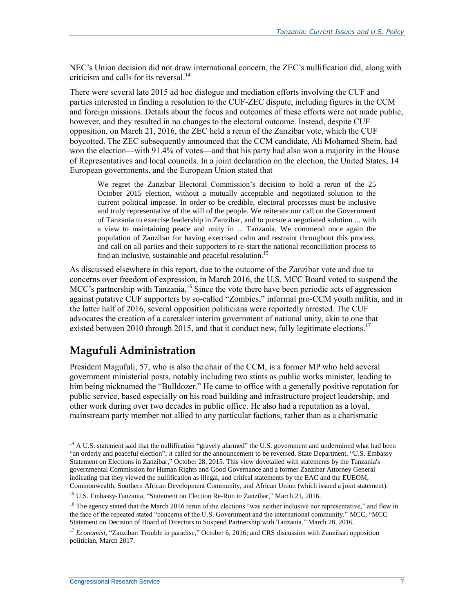NEC's Union decision did not draw international concern, the ZEC's nullification did, along with criticism and calls for its reversal. 14

There were several late 2015 ad hoc dialogue and mediation efforts involving the CUF and parties interested in finding a resolution to the CUF-ZEC dispute, including figures in the CCM and foreign missions. Details about the focus and outcomes of these efforts were not made public, however, and they resulted in no changes to the electoral outcome. Instead, despite CUF opposition, on March 21, 2016, the ZEC held a rerun of the Zanzibar vote, which the CUF boycotted. The ZEC subsequently announced that the CCM candidate, Ali Mohamed Shein, had won the election—with 91.4% of votes—and that his party had also won a majority in the House of Representatives and local councils. In a joint declaration on the election, the United States, 14 European governments, and the European Union stated that

We regret the Zanzibar Electoral Commission's decision to hold a rerun of the 25 October 2015 election, without a mutually acceptable and negotiated solution to the current political impasse. In order to be credible, electoral processes must be inclusive and truly representative of the will of the people. We reiterate our call on the Government of Tanzania to exercise leadership in Zanzibar, and to pursue a negotiated solution ... with a view to maintaining peace and unity in ... Tanzania. We commend once again the population of Zanzibar for having exercised calm and restraint throughout this process, and call on all parties and their supporters to re-start the national reconciliation process to find an inclusive, sustainable and peaceful resolution.<sup>15</sup>

As discussed elsewhere in this report, due to the outcome of the Zanzibar vote and due to concerns over freedom of expression, in March 2016, the U.S. MCC Board voted to suspend the MCC's partnership with Tanzania.<sup>16</sup> Since the vote there have been periodic acts of aggression against putative CUF supporters by so-called "Zombies," informal pro-CCM youth militia, and in the latter half of 2016, several opposition politicians were reportedly arrested. The CUF advocates the creation of a caretaker interim government of national unity, akin to one that existed between 2010 through 2015, and that it conduct new, fully legitimate elections.<sup>17</sup>

## **Magufuli Administration**

President Magufuli, 57, who is also the chair of the CCM, is a former MP who held several government ministerial posts, notably including two stints as public works minister, leading to him being nicknamed the "Bulldozer." He came to office with a generally positive reputation for public service, based especially on his road building and infrastructure project leadership, and other work during over two decades in public office. He also had a reputation as a loyal, mainstream party member not allied to any particular factions, rather than as a charismatic

 $14$  A U.S. statement said that the nullification "gravely alarmed" the U.S. government and undermined what had been "an orderly and peaceful election"; it called for the announcement to be reversed. State Department, "U.S. Embassy Statement on Elections in Zanzibar," October 28, 2015. This view dovetailed with statements by the Tanzania's governmental Commission for Human Rights and Good Governance and a former Zanzibar Attorney General indicating that they viewed the nullification as illegal, and critical statements by the EAC and the EUEOM, Commonwealth, Southern African Development Community, and African Union (which issued a joint statement).

<sup>&</sup>lt;sup>15</sup> U.S. Embassy-Tanzania, "Statement on Election Re-Run in Zanzibar," March 21, 2016.

 $16$  The agency stated that the March 2016 rerun of the elections "was neither inclusive nor representative," and flew in the face of the repeated stated "concerns of the U.S. Government and the international community." MCC, "MCC Statement on Decision of Board of Directors to Suspend Partnership with Tanzania," March 28, 2016.

<sup>&</sup>lt;sup>17</sup> *Economist*, "Zanzibar: Trouble in paradise," October 6, 2016; and CRS discussion with Zanzibari opposition politician, March 2017.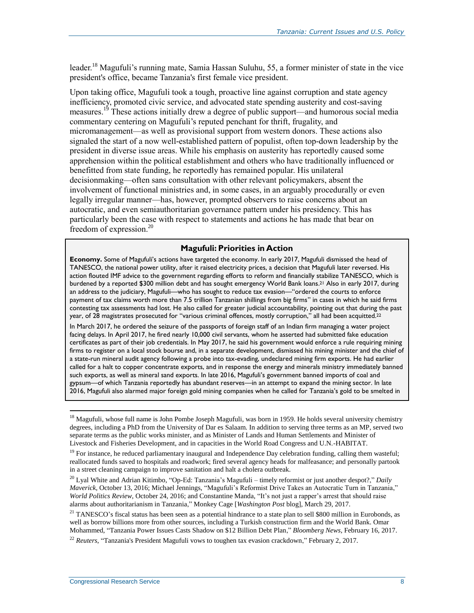leader.<sup>18</sup> Magufuli's running mate, Samia Hassan Suluhu, 55, a former minister of state in the vice president's office, became Tanzania's first female vice president.

Upon taking office, Magufuli took a tough, proactive line against corruption and state agency inefficiency, promoted civic service, and advocated state spending austerity and cost-saving measures.<sup>19</sup> These actions initially drew a degree of public support—and humorous social media commentary centering on Magufuli's reputed penchant for thrift, frugality, and micromanagement—as well as provisional support from western donors. These actions also signaled the start of a now well-established pattern of populist, often top-down leadership by the president in diverse issue areas. While his emphasis on austerity has reportedly caused some apprehension within the political establishment and others who have traditionally influenced or benefitted from state funding, he reportedly has remained popular. His unilateral decisionmaking—often sans consultation with other relevant policymakers, absent the involvement of functional ministries and, in some cases, in an arguably procedurally or even legally irregular manner—has, however, prompted observers to raise concerns about an autocratic, and even semiauthoritarian governance pattern under his presidency. This has particularly been the case with respect to statements and actions he has made that bear on freedom of expression.<sup>20</sup>

#### **Magufuli: Priorities in Action**

**Economy.** Some of Magufuli's actions have targeted the economy. In early 2017, Magufuli dismissed the head of TANESCO, the national power utility, after it raised electricity prices, a decision that Magufuli later reversed. His action flouted IMF advice to the government regarding efforts to reform and financially stabilize TANESCO, which is burdened by a reported \$300 million debt and has sought emergency World Bank loans. <sup>21</sup> Also in early 2017, during an address to the judiciary, Magufuli—who has sought to reduce tax evasion—"ordered the courts to enforce payment of tax claims worth more than 7.5 trillion Tanzanian shillings from big firms" in cases in which he said firms contesting tax assessments had lost. He also called for greater judicial accountability, pointing out that during the past year, of 28 magistrates prosecuted for "various criminal offences, mostly corruption," all had been acquitted.<sup>22</sup>

In March 2017, he ordered the seizure of the passports of foreign staff of an Indian firm managing a water project facing delays. In April 2017, he fired nearly 10,000 civil servants, whom he asserted had submitted fake education certificates as part of their job credentials. In May 2017, he said his government would enforce a rule requiring mining firms to register on a local stock bourse and, in a separate development, dismissed his mining minister and the chief of a state-run mineral audit agency following a probe into tax-evading, undeclared mining firm exports. He had earlier called for a halt to copper concentrate exports, and in response the energy and minerals ministry immediately banned such exports, as well as mineral sand exports. In late 2016, Magufuli's government banned imports of coal and gypsum—of which Tanzania reportedly has abundant reserves—in an attempt to expand the mining sector. In late 2016, Magufuli also alarmed major foreign gold mining companies when he called for Tanzania's gold to be smelted in

<sup>&</sup>lt;sup>18</sup> Magufuli, whose full name is John Pombe Joseph Magufuli, was born in 1959. He holds several university chemistry degrees, including a PhD from the University of Dar es Salaam. In addition to serving three terms as an MP, served two separate terms as the public works minister, and as Minister of Lands and Human Settlements and Minister of Livestock and Fisheries Development, and in capacities in the World Road Congress and U.N.-HABITAT.

 $19$  For instance, he reduced parliamentary inaugural and Independence Day celebration funding, calling them wasteful; reallocated funds saved to hospitals and roadwork; fired several agency heads for malfeasance; and personally partook in a street cleaning campaign to improve sanitation and halt a cholera outbreak.

<sup>20</sup> Lyal White and Adrian Kitimbo, "Op-Ed: Tanzania's Magufuli – timely reformist or just another despot?," *Daily Maverick*, October 13, 2016; Michael Jennings, "Magufuli's Reformist Drive Takes an Autocratic Turn in Tanzania," *World Politics Review*, October 24, 2016; and Constantine Manda, "It's not just a rapper's arrest that should raise alarms about authoritarianism in Tanzania," Monkey Cage [*Washington Post* blog], March 29, 2017.

 $21$  TANESCO's fiscal status has been seen as a potential hindrance to a state plan to sell \$800 million in Eurobonds, as well as borrow billions more from other sources, including a Turkish construction firm and the World Bank. Omar Mohammed, "Tanzania Power Issues Casts Shadow on \$12 Billion Debt Plan," *Bloomberg News*, February 16, 2017.

<sup>22</sup> *Reuters*, "Tanzania's President Magufuli vows to toughen tax evasion crackdown," February 2, 2017.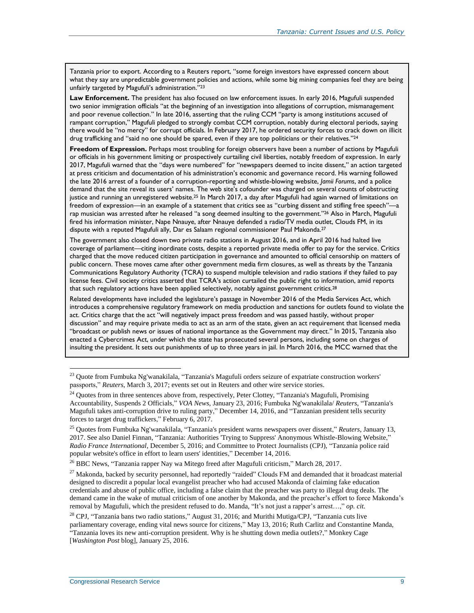Tanzania prior to export. According to a Reuters report, "some foreign investors have expressed concern about what they say are unpredictable government policies and actions, while some big mining companies feel they are being unfairly targeted by Magufuli's administration."<sup>23</sup>

**Law Enforcement.** The president has also focused on law enforcement issues. In early 2016, Magufuli suspended two senior immigration officials "at the beginning of an investigation into allegations of corruption, mismanagement and poor revenue collection." In late 2016, asserting that the ruling CCM "party is among institutions accused of rampant corruption," Magufuli pledged to strongly combat CCM corruption, notably during electoral periods, saying there would be "no mercy" for corrupt officials. In February 2017, he ordered security forces to crack down on illicit drug trafficking and "said no one should be spared, even if they are top politicians or their relatives."<sup>24</sup>

**Freedom of Expression.** Perhaps most troubling for foreign observers have been a number of actions by Magufuli or officials in his government limiting or prospectively curtailing civil liberties, notably freedom of expression. In early 2017, Magufuli warned that the "days were numbered" for "newspapers deemed to incite dissent," an action targeted at press criticism and documentation of his administration's economic and governance record. His warning followed the late 2016 arrest of a founder of a corruption-reporting and whistle-blowing website, *Jamii Forums*, and a police demand that the site reveal its users' names. The web site's cofounder was charged on several counts of obstructing justice and running an unregistered website.<sup>25</sup> In March 2017, a day after Magufuli had again warned of limitations on freedom of expression—in an example of a statement that critics see as "curbing dissent and stifling free speech"—a rap musician was arrested after he released "a song deemed insulting to the government."<sup>26</sup> Also in March, Magufuli fired his information minister, Nape Nnauye, after Nnauye defended a radio/TV media outlet, Clouds FM, in its dispute with a reputed Magufuli ally, Dar es Salaam regional commissioner Paul Makonda. 27

The government also closed down two private radio stations in August 2016, and in April 2016 had halted live coverage of parliament—citing inordinate costs, despite a reported private media offer to pay for the service. Critics charged that the move reduced citizen participation in governance and amounted to official censorship on matters of public concern. These moves came after other government media firm closures, as well as threats by the Tanzania Communications Regulatory Authority (TCRA) to suspend multiple television and radio stations if they failed to pay license fees. Civil society critics asserted that TCRA's action curtailed the public right to information, amid reports that such regulatory actions have been applied selectively, notably against government critics.<sup>28</sup>

Related developments have included the legislature's passage in November 2016 of the Media Services Act, which introduces a comprehensive regulatory framework on media production and sanctions for outlets found to violate the act. Critics charge that the act "will negatively impact press freedom and was passed hastily, without proper discussion" and may require private media to act as an arm of the state, given an act requirement that licensed media "broadcast or publish news or issues of national importance as the Government may direct." In 2015, Tanzania also enacted a Cybercrimes Act, under which the state has prosecuted several persons, including some on charges of insulting the president. It sets out punishments of up to three years in jail. In March 2016, the MCC warned that the

<sup>26</sup> BBC News, "Tanzania rapper Nay wa Mitego freed after Magufuli criticism," March 28, 2017.

<sup>&</sup>lt;sup>23</sup> Quote from Fumbuka Ng'wanakilala, "Tanzania's Magufuli orders seizure of expatriate construction workers' passports," *Reuters*, March 3, 2017; events set out in Reuters and other wire service stories.

<sup>&</sup>lt;sup>24</sup> Quotes from in three sentences above from, respectively, Peter Clottey, "Tanzania's Magufuli, Promising Accountability, Suspends 2 Officials," *VOA News*, January 23, 2016; Fumbuka Ng'wanakilala/ *Reuters*, "Tanzania's Magufuli takes anti-corruption drive to ruling party," December 14, 2016, and "Tanzanian president tells security forces to target drug traffickers," February 6, 2017.

<sup>25</sup> Quotes from Fumbuka Ng'wanakilala, "Tanzania's president warns newspapers over dissent," *Reuters*, January 13, 2017. See also Daniel Finnan, "Tanzania: Authorities 'Trying to Suppress' Anonymous Whistle-Blowing Website," *Radio France International*, December 5, 2016; and Committee to Protect Journalists (CPJ), "Tanzania police raid popular website's office in effort to learn users' identities," December 14, 2016.

<sup>&</sup>lt;sup>27</sup> Makonda, backed by security personnel, had reportedly "raided" Clouds FM and demanded that it broadcast material designed to discredit a popular local evangelist preacher who had accused Makonda of claiming fake education credentials and abuse of public office, including a false claim that the preacher was party to illegal drug deals. The demand came in the wake of mutual criticism of one another by Makonda, and the preacher's effort to force Makonda's removal by Magufuli, which the president refused to do. Manda, "It's not just a rapper's arrest…," *op. cit.*

<sup>&</sup>lt;sup>28</sup> CPJ, "Tanzania bans two radio stations," August 31, 2016; and Murithi Mutiga/CPJ, "Tanzania cuts live parliamentary coverage, ending vital news source for citizens," May 13, 2016; Ruth Carlitz and Constantine Manda, "Tanzania loves its new anti-corruption president. Why is he shutting down media outlets?," Monkey Cage [*Washington Post* blog], January 25, 2016.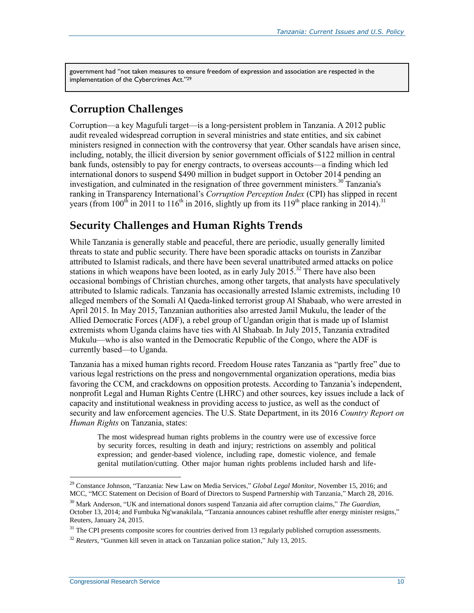government had "not taken measures to ensure freedom of expression and association are respected in the implementation of the Cybercrimes Act."<sup>29</sup>

#### **Corruption Challenges**

Corruption—a key Magufuli target—is a long-persistent problem in Tanzania. A 2012 public audit revealed widespread corruption in several ministries and state entities, and six cabinet ministers resigned in connection with the controversy that year. Other scandals have arisen since, including, notably, the illicit diversion by senior government officials of \$122 million in central bank funds, ostensibly to pay for energy contracts, to overseas accounts—a finding which led international donors to suspend \$490 million in budget support in October 2014 pending an investigation, and culminated in the resignation of three government ministers.<sup>30</sup> Tanzania's ranking in Transparency International's *Corruption Perception Index* (CPI) has slipped in recent years (from 100<sup>th</sup> in 2011 to 116<sup>th</sup> in 2016, slightly up from its 119<sup>th</sup> place ranking in 2014).<sup>31</sup>

#### **Security Challenges and Human Rights Trends**

While Tanzania is generally stable and peaceful, there are periodic, usually generally limited threats to state and public security. There have been sporadic attacks on tourists in Zanzibar attributed to Islamist radicals, and there have been several unattributed armed attacks on police stations in which weapons have been looted, as in early July 2015.<sup>32</sup> There have also been occasional bombings of Christian churches, among other targets, that analysts have speculatively attributed to Islamic radicals. Tanzania has occasionally arrested Islamic extremists, including 10 alleged members of the Somali Al Qaeda-linked terrorist group Al Shabaab, who were arrested in April 2015. In May 2015, Tanzanian authorities also arrested Jamil Mukulu, the leader of the Allied Democratic Forces (ADF), a rebel group of Ugandan origin that is made up of Islamist extremists whom Uganda claims have ties with Al Shabaab. In July 2015, Tanzania extradited Mukulu—who is also wanted in the Democratic Republic of the Congo, where the ADF is currently based—to Uganda.

Tanzania has a mixed human rights record. Freedom House rates Tanzania as "partly free" due to various legal restrictions on the press and nongovernmental organization operations, media bias favoring the CCM, and crackdowns on opposition protests. According to Tanzania's independent, nonprofit Legal and Human Rights Centre (LHRC) and other sources, key issues include a lack of capacity and institutional weakness in providing access to justice, as well as the conduct of security and law enforcement agencies. The U.S. State Department, in its 2016 *Country Report on Human Rights* on Tanzania, states:

The most widespread human rights problems in the country were use of excessive force by security forces, resulting in death and injury; restrictions on assembly and political expression; and gender-based violence, including rape, domestic violence, and female genital mutilation/cutting. Other major human rights problems included harsh and life-

<sup>29</sup> Constance Johnson, "Tanzania: New Law on Media Services," *Global Legal Monitor*, November 15, 2016; and MCC, "MCC Statement on Decision of Board of Directors to Suspend Partnership with Tanzania," March 28, 2016.

<sup>30</sup> Mark Anderson, "UK and international donors suspend Tanzania aid after corruption claims," *The Guardian*, October 13, 2014; and Fumbuka Ng'wanakilala, "Tanzania announces cabinet reshuffle after energy minister resigns," Reuters, January 24, 2015.

<sup>&</sup>lt;sup>31</sup> The CPI presents composite scores for countries derived from 13 regularly published corruption assessments.

<sup>32</sup> *Reuters*, "Gunmen kill seven in attack on Tanzanian police station," July 13, 2015.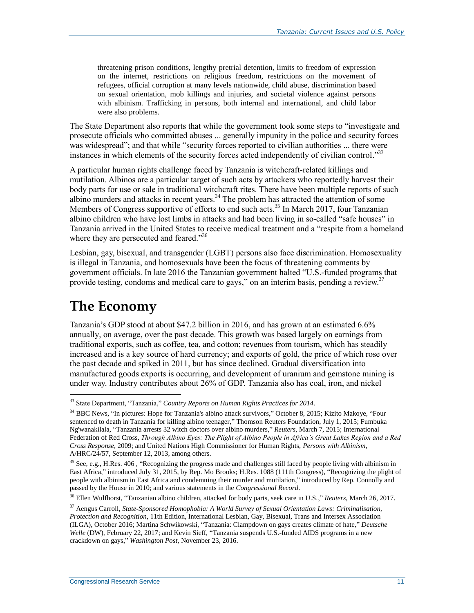threatening prison conditions, lengthy pretrial detention, limits to freedom of expression on the internet, restrictions on religious freedom, restrictions on the movement of refugees, official corruption at many levels nationwide, child abuse, discrimination based on sexual orientation, mob killings and injuries, and societal violence against persons with albinism. Trafficking in persons, both internal and international, and child labor were also problems.

The State Department also reports that while the government took some steps to "investigate and prosecute officials who committed abuses ... generally impunity in the police and security forces was widespread"; and that while "security forces reported to civilian authorities ... there were instances in which elements of the security forces acted independently of civilian control."<sup>33</sup>

A particular human rights challenge faced by Tanzania is witchcraft-related killings and mutilation. Albinos are a particular target of such acts by attackers who reportedly harvest their body parts for use or sale in traditional witchcraft rites. There have been multiple reports of such albino murders and attacks in recent years.<sup>34</sup> The problem has attracted the attention of some Members of Congress supportive of efforts to end such acts.<sup>35</sup> In March 2017, four Tanzanian albino children who have lost limbs in attacks and had been living in so-called "safe houses" in Tanzania arrived in the United States to receive medical treatment and a "respite from a homeland where they are persecuted and feared."<sup>36</sup>

Lesbian, gay, bisexual, and transgender (LGBT) persons also face discrimination. Homosexuality is illegal in Tanzania, and homosexuals have been the focus of threatening comments by government officials. In late 2016 the Tanzanian government halted "U.S.-funded programs that provide testing, condoms and medical care to gays," on an interim basis, pending a review.<sup>37</sup>

# **The Economy**

 $\overline{a}$ 

Tanzania's GDP stood at about \$47.2 billion in 2016, and has grown at an estimated 6.6% annually, on average, over the past decade. This growth was based largely on earnings from traditional exports, such as coffee, tea, and cotton; revenues from tourism, which has steadily increased and is a key source of hard currency; and exports of gold, the price of which rose over the past decade and spiked in 2011, but has since declined. Gradual diversification into manufactured goods exports is occurring, and development of uranium and gemstone mining is under way. Industry contributes about 26% of GDP. Tanzania also has coal, iron, and nickel

<sup>33</sup> State Department, "Tanzania," *Country Reports on Human Rights Practices for 2014.*

<sup>34</sup> BBC News, "In pictures: Hope for Tanzania's albino attack survivors," October 8, 2015; Kizito Makoye, "Four sentenced to death in Tanzania for killing albino teenager," Thomson Reuters Foundation, July 1, 2015; Fumbuka Ng'wanakilala, "Tanzania arrests 32 witch doctors over albino murders," *Reuters*, March 7, 2015; International Federation of Red Cross, *Through Albino Eyes: The Plight of Albino People in Africa's Great Lakes Region and a Red Cross Response*, 2009; and United Nations High Commissioner for Human Rights, *Persons with Albinism*, A/HRC/24/57, September 12, 2013, among others.

<sup>&</sup>lt;sup>35</sup> See, e.g., H.Res. 406, "Recognizing the progress made and challenges still faced by people living with albinism in East Africa," introduced July 31, 2015, by Rep. Mo Brooks; H.Res. 1088 (111th Congress), "Recognizing the plight of people with albinism in East Africa and condemning their murder and mutilation," introduced by Rep. Connolly and passed by the House in 2010; and various statements in the *Congressional Record*.

<sup>36</sup> Ellen Wulfhorst, "Tanzanian albino children, attacked for body parts, seek care in U.S.," *Reuters*, March 26, 2017.

<sup>37</sup> Aengus Carroll, *State-Sponsored Homophobia: A World Survey of Sexual Orientation Laws: Criminalisation, Protection and Recognition*, 11th Edition, International Lesbian, Gay, Bisexual, Trans and Intersex Association (ILGA), October 2016; Martina Schwikowski, "Tanzania: Clampdown on gays creates climate of hate," *Deutsche Welle* (DW), February 22, 2017; and Kevin Sieff, "Tanzania suspends U.S.-funded AIDS programs in a new crackdown on gays," *Washington Post*, November 23, 2016.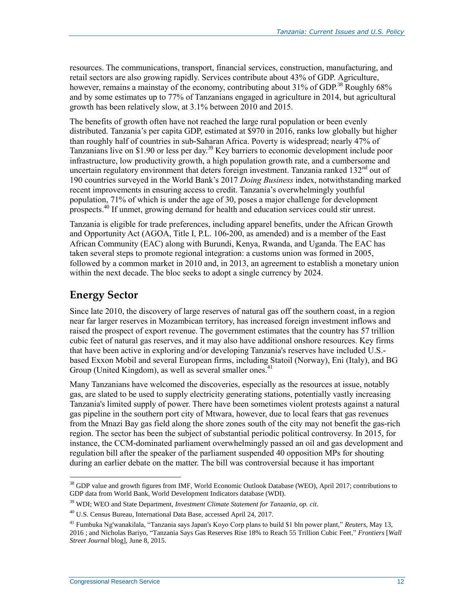resources. The communications, transport, financial services, construction, manufacturing, and retail sectors are also growing rapidly. Services contribute about 43% of GDP. Agriculture, however, remains a mainstay of the economy, contributing about  $31\%$  of GDP.<sup>38</sup> Roughly 68% and by some estimates up to 77% of Tanzanians engaged in agriculture in 2014, but agricultural growth has been relatively slow, at 3.1% between 2010 and 2015.

The benefits of growth often have not reached the large rural population or been evenly distributed. Tanzania's per capita GDP, estimated at \$970 in 2016, ranks low globally but higher than roughly half of countries in sub-Saharan Africa. Poverty is widespread; nearly 47% of Tanzanians live on \$1.90 or less per day.<sup>39</sup> Key barriers to economic development include poor infrastructure, low productivity growth, a high population growth rate, and a cumbersome and uncertain regulatory environment that deters foreign investment. Tanzania ranked  $132<sup>nd</sup>$  out of 190 countries surveyed in the World Bank's 2017 *Doing Business* index, notwithstanding marked recent improvements in ensuring access to credit. Tanzania's overwhelmingly youthful population, 71% of which is under the age of 30, poses a major challenge for development prospects.<sup>40</sup> If unmet, growing demand for health and education services could stir unrest.

Tanzania is eligible for trade preferences, including apparel benefits, under the African Growth and Opportunity Act (AGOA, Title I, P.L. 106-200, as amended) and is a member of the East African Community (EAC) along with Burundi, Kenya, Rwanda, and Uganda. The EAC has taken several steps to promote regional integration: a customs union was formed in 2005, followed by a common market in 2010 and, in 2013, an agreement to establish a monetary union within the next decade. The bloc seeks to adopt a single currency by 2024.

#### **Energy Sector**

Since late 2010, the discovery of large reserves of natural gas off the southern coast, in a region near far larger reserves in Mozambican territory, has increased foreign investment inflows and raised the prospect of export revenue. The government estimates that the country has 57 trillion cubic feet of natural gas reserves, and it may also have additional onshore resources. Key firms that have been active in exploring and/or developing Tanzania's reserves have included U.S. based Exxon Mobil and several European firms, including Statoil (Norway), Eni (Italy), and BG Group (United Kingdom), as well as several smaller ones.<sup>41</sup>

Many Tanzanians have welcomed the discoveries, especially as the resources at issue, notably gas, are slated to be used to supply electricity generating stations, potentially vastly increasing Tanzania's limited supply of power. There have been sometimes violent protests against a natural gas pipeline in the southern port city of Mtwara, however, due to local fears that gas revenues from the Mnazi Bay gas field along the shore zones south of the city may not benefit the gas-rich region. The sector has been the subject of substantial periodic political controversy. In 2015, for instance, the CCM-dominated parliament overwhelmingly passed an oil and gas development and regulation bill after the speaker of the parliament suspended 40 opposition MPs for shouting during an earlier debate on the matter. The bill was controversial because it has important

<sup>&</sup>lt;sup>38</sup> GDP value and growth figures from IMF, World Economic Outlook Database (WEO), April 2017; contributions to GDP data from World Bank, World Development Indicators database (WDI).

<sup>39</sup> WDI; WEO and State Department, *Investment Climate Statement for Tanzania, op. cit*.

<sup>40</sup> U.S. Census Bureau, International Data Base, accessed April 24, 2017.

<sup>41</sup> Fumbuka Ng'wanakilala, "Tanzania says Japan's Koyo Corp plans to build \$1 bln power plant," *Reuters*, May 13, 2016 ; and Nicholas Bariyo, "Tanzania Says Gas Reserves Rise 18% to Reach 55 Trillion Cubic Feet," *Frontiers* [*Wall Street Journal* blog], June 8, 2015.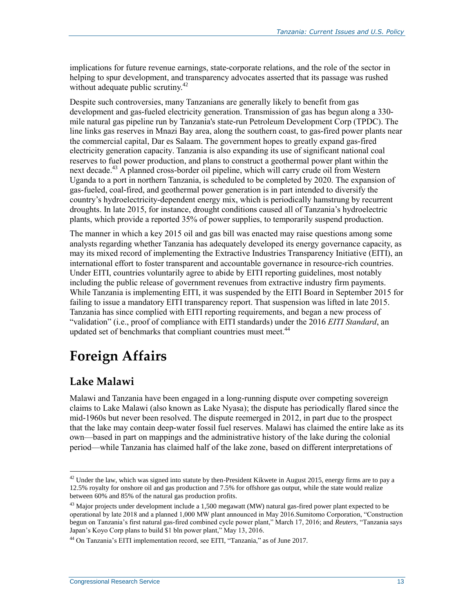implications for future revenue earnings, state-corporate relations, and the role of the sector in helping to spur development, and transparency advocates asserted that its passage was rushed without adequate public scrutiny. $42$ 

Despite such controversies, many Tanzanians are generally likely to benefit from gas development and gas-fueled electricity generation. Transmission of gas has begun along a 330 mile natural gas pipeline run by Tanzania's state-run Petroleum Development Corp (TPDC). The line links gas reserves in Mnazi Bay area, along the southern coast, to gas-fired power plants near the commercial capital, Dar es Salaam. The government hopes to greatly expand gas-fired electricity generation capacity. Tanzania is also expanding its use of significant national coal reserves to fuel power production, and plans to construct a geothermal power plant within the next decade.<sup>43</sup> A planned cross-border oil pipeline, which will carry crude oil from Western Uganda to a port in northern Tanzania, is scheduled to be completed by 2020. The expansion of gas-fueled, coal-fired, and geothermal power generation is in part intended to diversify the country's hydroelectricity-dependent energy mix, which is periodically hamstrung by recurrent droughts. In late 2015, for instance, drought conditions caused all of Tanzania's hydroelectric plants, which provide a reported 35% of power supplies, to temporarily suspend production.

The manner in which a key 2015 oil and gas bill was enacted may raise questions among some analysts regarding whether Tanzania has adequately developed its energy governance capacity, as may its mixed record of implementing the Extractive Industries Transparency Initiative (EITI), an international effort to foster transparent and accountable governance in resource-rich countries. Under EITI, countries voluntarily agree to abide by EITI reporting guidelines, most notably including the public release of government revenues from extractive industry firm payments. While Tanzania is implementing EITI, it was suspended by the EITI Board in September 2015 for failing to issue a mandatory EITI transparency report. That suspension was lifted in late 2015. Tanzania has since complied with EITI reporting requirements, and began a new process of "validation" (i.e., proof of compliance with EITI standards) under the 2016 *EITI Standard*, an updated set of benchmarks that compliant countries must meet.<sup>44</sup>

# **Foreign Affairs**

## **Lake Malawi**

 $\overline{a}$ 

Malawi and Tanzania have been engaged in a long-running dispute over competing sovereign claims to Lake Malawi (also known as Lake Nyasa); the dispute has periodically flared since the mid-1960s but never been resolved. The dispute reemerged in 2012, in part due to the prospect that the lake may contain deep-water fossil fuel reserves. Malawi has claimed the entire lake as its own—based in part on mappings and the administrative history of the lake during the colonial period—while Tanzania has claimed half of the lake zone, based on different interpretations of

 $42$  Under the law, which was signed into statute by then-President Kikwete in August 2015, energy firms are to pay a 12.5% royalty for onshore oil and gas production and 7.5% for offshore gas output, while the state would realize between 60% and 85% of the natural gas production profits.

<sup>&</sup>lt;sup>43</sup> Major projects under development include a 1,500 megawatt (MW) natural gas-fired power plant expected to be operational by late 2018 and a planned 1,000 MW plant announced in May 2016.Sumitomo Corporation, "Construction begun on Tanzania's first natural gas-fired combined cycle power plant," March 17, 2016; and *Reuters*, "Tanzania says Japan's Koyo Corp plans to build \$1 bln power plant," May 13, 2016.

<sup>44</sup> On Tanzania's EITI implementation record, see EITI, "Tanzania," as of June 2017.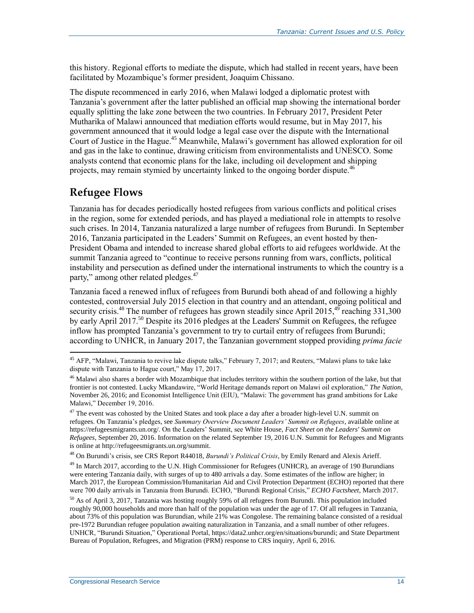this history. Regional efforts to mediate the dispute, which had stalled in recent years, have been facilitated by Mozambique's former president, Joaquim Chissano.

The dispute recommenced in early 2016, when Malawi lodged a diplomatic protest with Tanzania's government after the latter published an official map showing the international border equally splitting the lake zone between the two countries. In February 2017, President Peter Mutharika of Malawi announced that mediation efforts would resume, but in May 2017, his government announced that it would lodge a legal case over the dispute with the International Court of Justice in the Hague. <sup>45</sup> Meanwhile, Malawi's government has allowed exploration for oil and gas in the lake to continue, drawing criticism from environmentalists and UNESCO. Some analysts contend that economic plans for the lake, including oil development and shipping projects, may remain stymied by uncertainty linked to the ongoing border dispute.<sup>46</sup>

#### **Refugee Flows**

 $\overline{a}$ 

Tanzania has for decades periodically hosted refugees from various conflicts and political crises in the region, some for extended periods, and has played a mediational role in attempts to resolve such crises. In 2014, Tanzania naturalized a large number of refugees from Burundi. In September 2016, Tanzania participated in the Leaders' Summit on Refugees, an event hosted by then-President Obama and intended to increase shared global efforts to aid refugees worldwide. At the summit Tanzania agreed to "continue to receive persons running from wars, conflicts, political instability and persecution as defined under the international instruments to which the country is a party," among other related pledges.<sup>47</sup>

Tanzania faced a renewed influx of refugees from Burundi both ahead of and following a highly contested, controversial July 2015 election in that country and an attendant, ongoing political and security crisis.<sup>48</sup> The number of refugees has grown steadily since April 2015,<sup>49</sup> reaching 331,300 by early April 2017.<sup>50</sup> Despite its 2016 pledges at the Leaders' Summit on Refugees, the refugee inflow has prompted Tanzania's government to try to curtail entry of refugees from Burundi; according to UNHCR, in January 2017, the Tanzanian government stopped providing *prima facie*

<sup>48</sup> On Burundi's crisis, see CRS Report R44018, *Burundi's Political Crisis*, by Emily Renard and Alexis Arieff.

<sup>49</sup> In March 2017, according to the U.N. High Commissioner for Refugees (UNHCR), an average of 190 Burundians were entering Tanzania daily, with surges of up to 480 arrivals a day. Some estimates of the inflow are higher; in March 2017, the European Commission/Humanitarian Aid and Civil Protection Department (ECHO) reported that there were 700 daily arrivals in Tanzania from Burundi. ECHO, "Burundi Regional Crisis," *ECHO Factsheet*, March 2017.

<sup>&</sup>lt;sup>45</sup> AFP, "Malawi, Tanzania to revive lake dispute talks," February 7, 2017; and Reuters, "Malawi plans to take lake dispute with Tanzania to Hague court," May 17, 2017.

<sup>&</sup>lt;sup>46</sup> Malawi also shares a border with Mozambique that includes territory within the southern portion of the lake, but that frontier is not contested. Lucky Mkandawire, "World Heritage demands report on Malawi oil exploration," *The Nation*, November 26, 2016; and Economist Intelligence Unit (EIU), "Malawi: The government has grand ambitions for Lake Malawi," December 19, 2016.

<sup>&</sup>lt;sup>47</sup> The event was cohosted by the United States and took place a day after a broader high-level U.N. summit on refugees. On Tanzania's pledges, see *Summary Overview Document Leaders' Summit on Refugees*, available online at https://refugeesmigrants.un.org/. On the Leaders' Summit, see White House, *Fact Sheet on the Leaders' Summit on Refugees*, September 20, 2016. Information on the related September 19, 2016 U.N. Summit for Refugees and Migrants is online at http://refugeesmigrants.un.org/summit.

<sup>&</sup>lt;sup>50</sup> As of April 3, 2017, Tanzania was hosting roughly 59% of all refugees from Burundi. This population included roughly 90,000 households and more than half of the population was under the age of 17. Of all refugees in Tanzania, about 73% of this population was Burundian, while 21% was Congolese. The remaining balance consisted of a residual pre-1972 Burundian refugee population awaiting naturalization in Tanzania, and a small number of other refugees. UNHCR, "Burundi Situation," Operational Portal, https://data2.unhcr.org/en/situations/burundi; and State Department Bureau of Population, Refugees, and Migration (PRM) response to CRS inquiry, April 6, 2016.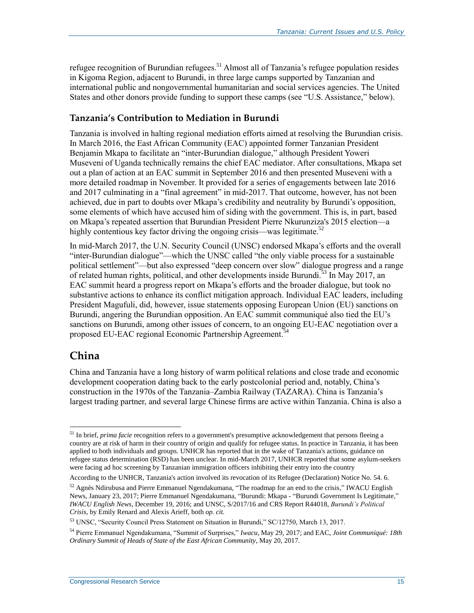refugee recognition of Burundian refugees.<sup>51</sup> Almost all of Tanzania's refugee population resides in Kigoma Region, adjacent to Burundi, in three large camps supported by Tanzanian and international public and nongovernmental humanitarian and social services agencies. The United States and other donors provide funding to support these camps (see ["U.S. Assistance,](#page-21-1)" below).

#### **Tanzania's Contribution to Mediation in Burundi**

Tanzania is involved in halting regional mediation efforts aimed at resolving the Burundian crisis. In March 2016, the East African Community (EAC) appointed former Tanzanian President Benjamin Mkapa to facilitate an "inter-Burundian dialogue," although President Yoweri Museveni of Uganda technically remains the chief EAC mediator. After consultations, Mkapa set out a plan of action at an EAC summit in September 2016 and then presented Museveni with a more detailed roadmap in November. It provided for a series of engagements between late 2016 and 2017 culminating in a "final agreement" in mid-2017. That outcome, however, has not been achieved, due in part to doubts over Mkapa's credibility and neutrality by Burundi's opposition, some elements of which have accused him of siding with the government. This is, in part, based on Mkapa's repeated assertion that Burundian President Pierre Nkurunziza's 2015 election—a highly contentious key factor driving the ongoing crisis—was legitimate.<sup>52</sup>

In mid-March 2017, the U.N. Security Council (UNSC) endorsed Mkapa's efforts and the overall "inter-Burundian dialogue"—which the UNSC called "the only viable process for a sustainable political settlement"—but also expressed "deep concern over slow" dialogue progress and a range of related human rights, political, and other developments inside Burundi.<sup>53</sup> In May 2017, an EAC summit heard a progress report on Mkapa's efforts and the broader dialogue, but took no substantive actions to enhance its conflict mitigation approach. Individual EAC leaders, including President Magufuli, did, however, issue statements opposing European Union (EU) sanctions on Burundi, angering the Burundian opposition. An EAC summit communiqué also tied the EU's sanctions on Burundi, among other issues of concern, to an ongoing EU-EAC negotiation over a proposed EU-EAC regional Economic Partnership Agreement.<sup>54</sup>

#### **China**

 $\overline{a}$ 

China and Tanzania have a long history of warm political relations and close trade and economic development cooperation dating back to the early postcolonial period and, notably, China's construction in the 1970s of the Tanzania–Zambia Railway (TAZARA). China is Tanzania's largest trading partner, and several large Chinese firms are active within Tanzania. China is also a

<sup>&</sup>lt;sup>51</sup> In brief, *prima facie* recognition refers to a government's presumptive acknowledgement that persons fleeing a country are at risk of harm in their country of origin and qualify for refugee status. In practice in Tanzania, it has been applied to both individuals and groups. UNHCR has reported that in the wake of Tanzania's actions, guidance on refugee status determination (RSD) has been unclear. In mid-March 2017, UNHCR reported that some asylum-seekers were facing ad hoc screening by Tanzanian immigration officers inhibiting their entry into the country

According to the UNHCR, Tanzania's action involved its revocation of its Refugee (Declaration) Notice No. 54. 6.

<sup>52</sup> Agnès Ndirubusa and Pierre Emmanuel Ngendakumana, "The roadmap for an end to the crisis," IWACU English News, January 23, 2017; Pierre Emmanuel Ngendakumana, "Burundi: Mkapa - "Burundi Government Is Legitimate," *IWACU English News*, December 19, 2016; and UNSC, S/2017/16 and CRS Report R44018, *Burundi's Political Crisis*, by Emily Renard and Alexis Arieff, both *op. cit.*

<sup>53</sup> UNSC, "Security Council Press Statement on Situation in Burundi," SC/12750, March 13, 2017.

<sup>54</sup> Pierre Emmanuel Ngendakumana, "Summit of Surprises," *Iwacu*, May 29, 2017; and EAC, *Joint Communiqué: 18th Ordinary Summit of Heads of State of the East African Community*, May 20, 2017.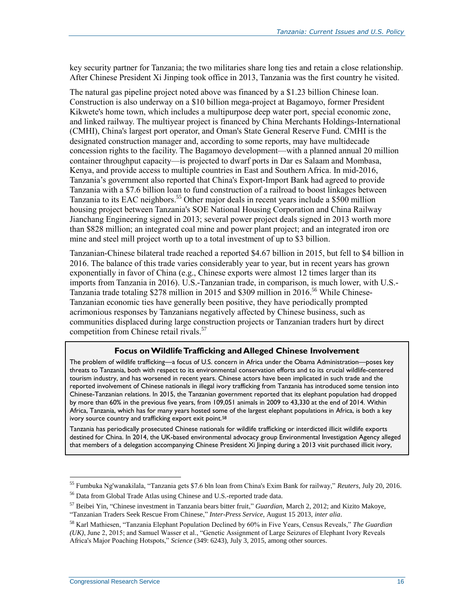key security partner for Tanzania; the two militaries share long ties and retain a close relationship. After Chinese President Xi Jinping took office in 2013, Tanzania was the first country he visited.

The natural gas pipeline project noted above was financed by a \$1.23 billion Chinese loan. Construction is also underway on a \$10 billion mega-project at Bagamoyo, former President Kikwete's home town, which includes a multipurpose deep water port, special economic zone, and linked railway. The multiyear project is financed by China Merchants Holdings-International (CMHI), China's largest port operator, and Oman's State General Reserve Fund. CMHI is the designated construction manager and, according to some reports, may have multidecade concession rights to the facility. The Bagamoyo development—with a planned annual 20 million container throughput capacity—is projected to dwarf ports in Dar es Salaam and Mombasa, Kenya, and provide access to multiple countries in East and Southern Africa. In mid-2016, Tanzania's government also reported that China's Export-Import Bank had agreed to provide Tanzania with a \$7.6 billion loan to fund construction of a railroad to boost linkages between Tanzania to its EAC neighbors.<sup>55</sup> Other major deals in recent years include a \$500 million housing project between Tanzania's SOE National Housing Corporation and China Railway Jianchang Engineering signed in 2013; several power project deals signed in 2013 worth more than \$828 million; an integrated coal mine and power plant project; and an integrated iron ore mine and steel mill project worth up to a total investment of up to \$3 billion.

Tanzanian-Chinese bilateral trade reached a reported \$4.67 billion in 2015, but fell to \$4 billion in 2016. The balance of this trade varies considerably year to year, but in recent years has grown exponentially in favor of China (e.g., Chinese exports were almost 12 times larger than its imports from Tanzania in 2016). U.S.-Tanzanian trade, in comparison, is much lower, with U.S.- Tanzania trade totaling \$278 million in 2015 and \$309 million in 2016. <sup>56</sup> While Chinese-Tanzanian economic ties have generally been positive, they have periodically prompted acrimonious responses by Tanzanians negatively affected by Chinese business, such as communities displaced during large construction projects or Tanzanian traders hurt by direct competition from Chinese retail rivals.<sup>57</sup>

#### **Focus on Wildlife Trafficking and Alleged Chinese Involvement**

The problem of wildlife trafficking—a focus of U.S. concern in Africa under the Obama Administration—poses key threats to Tanzania, both with respect to its environmental conservation efforts and to its crucial wildlife-centered tourism industry, and has worsened in recent years. Chinese actors have been implicated in such trade and the reported involvement of Chinese nationals in illegal ivory trafficking from Tanzania has introduced some tension into Chinese-Tanzanian relations. In 2015, the Tanzanian government reported that its elephant population had dropped by more than 60% in the previous five years, from 109,051 animals in 2009 to 43,330 at the end of 2014. Within Africa, Tanzania, which has for many years hosted some of the largest elephant populations in Africa, is both a key ivory source country and trafficking export exit point.<sup>58</sup>

Tanzania has periodically prosecuted Chinese nationals for wildlife trafficking or interdicted illicit wildlife exports destined for China. In 2014, the UK-based environmental advocacy group Environmental Investigation Agency alleged that members of a delegation accompanying Chinese President Xi Jinping during a 2013 visit purchased illicit ivory,

<sup>55</sup> Fumbuka Ng'wanakilala, "Tanzania gets \$7.6 bln loan from China's Exim Bank for railway," *Reuters*, July 20, 2016.

<sup>56</sup> Data from Global Trade Atlas using Chinese and U.S.-reported trade data.

<sup>57</sup> Beibei Yin, "Chinese investment in Tanzania bears bitter fruit," *Guardian*, March 2, 2012; and Kizito Makoye, "Tanzanian Traders Seek Rescue From Chinese," *Inter-Press Service*, August 15 2013, *inter alia*.

<sup>58</sup> Karl Mathiesen, "Tanzania Elephant Population Declined by 60% in Five Years, Census Reveals," *The Guardian (UK)*, June 2, 2015; and Samuel Wasser et al., "Genetic Assignment of Large Seizures of Elephant Ivory Reveals Africa's Major Poaching Hotspots," *Science* (349: 6243), July 3, 2015, among other sources.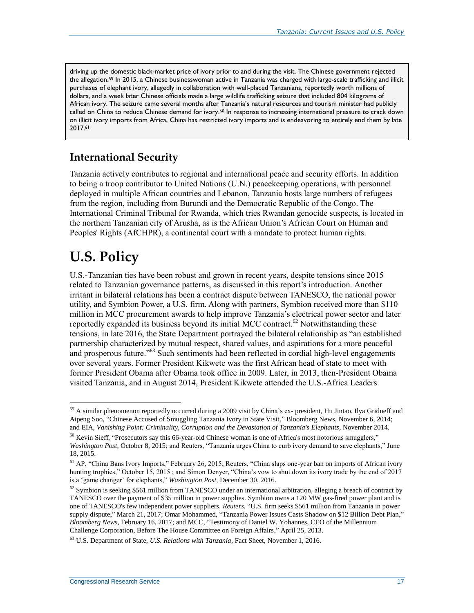driving up the domestic black-market price of ivory prior to and during the visit. The Chinese government rejected the allegation.<sup>59</sup> In 2015, a Chinese businesswoman active in Tanzania was charged with large-scale trafficking and illicit purchases of elephant ivory, allegedly in collaboration with well-placed Tanzanians, reportedly worth millions of dollars, and a week later Chinese officials made a large wildlife trafficking seizure that included 804 kilograms of African ivory. The seizure came several months after Tanzania's natural resources and tourism minister had publicly called on China to reduce Chinese demand for ivory.<sup>60</sup> In response to increasing international pressure to crack down on illicit ivory imports from Africa, China has restricted ivory imports and is endeavoring to entirely end them by late 2017.<sup>61</sup>

## **International Security**

Tanzania actively contributes to regional and international peace and security efforts. In addition to being a troop contributor to United Nations (U.N.) peacekeeping operations, with personnel deployed in multiple African countries and Lebanon, Tanzania hosts large numbers of refugees from the region, including from Burundi and the Democratic Republic of the Congo. The International Criminal Tribunal for Rwanda, which tries Rwandan genocide suspects, is located in the northern Tanzanian city of Arusha, as is the African Union's African Court on Human and Peoples' Rights (AfCHPR), a continental court with a mandate to protect human rights.

# **U.S. Policy**

 $\overline{a}$ 

U.S.-Tanzanian ties have been robust and grown in recent years, despite tensions since 2015 related to Tanzanian governance patterns, as discussed in this report's introduction. Another irritant in bilateral relations has been a contract dispute between TANESCO, the national power utility, and Symbion Power, a U.S. firm. Along with partners, Symbion received more than \$110 million in MCC procurement awards to help improve Tanzania's electrical power sector and later reportedly expanded its business beyond its initial MCC contract.<sup>62</sup> Notwithstanding these tensions, in late 2016, the State Department portrayed the bilateral relationship as "an established partnership characterized by mutual respect, shared values, and aspirations for a more peaceful and prosperous future."<sup>63</sup> Such sentiments had been reflected in cordial high-level engagements over several years. Former President Kikwete was the first African head of state to meet with former President Obama after Obama took office in 2009. Later, in 2013, then-President Obama visited Tanzania, and in August 2014, President Kikwete attended the U.S.-Africa Leaders

<sup>&</sup>lt;sup>59</sup> A similar phenomenon reportedly occurred during a 2009 visit by China's ex- president, Hu Jintao. Ilya Gridneff and Aipeng Soo, "Chinese Accused of Smuggling Tanzania Ivory in State Visit," Bloomberg News, November 6, 2014; and EIA, *Vanishing Point: Criminality, Corruption and the Devastation of Tanzania's Elephants*, November 2014.

<sup>&</sup>lt;sup>60</sup> Kevin Sieff, "Prosecutors say this 66-year-old Chinese woman is one of Africa's most notorious smugglers," *Washington Post*, October 8, 2015; and Reuters, "Tanzania urges China to curb ivory demand to save elephants," June 18, 2015.

<sup>&</sup>lt;sup>61</sup> AP, "China Bans Ivory Imports," February 26, 2015; Reuters, "China slaps one-year ban on imports of African ivory hunting trophies," October 15, 2015; and Simon Denyer, "China's vow to shut down its ivory trade by the end of 2017 is a 'game changer' for elephants," *Washington Post*, December 30, 2016.

 $62$  Symbion is seeking \$561 million from TANESCO under an international arbitration, alleging a breach of contract by TANESCO over the payment of \$35 million in power supplies. Symbion owns a 120 MW gas-fired power plant and is one of TANESCO's few independent power suppliers. *Reuters*, "U.S. firm seeks \$561 million from Tanzania in power supply dispute," March 21, 2017; Omar Mohammed, "Tanzania Power Issues Casts Shadow on \$12 Billion Debt Plan," *Bloomberg News*, February 16, 2017; and MCC, "Testimony of Daniel W. Yohannes, CEO of the Millennium Challenge Corporation, Before The House Committee on Foreign Affairs," April 25, 2013.

<sup>63</sup> U.S. Department of State, *U.S. Relations with Tanzania*, Fact Sheet, November 1, 2016.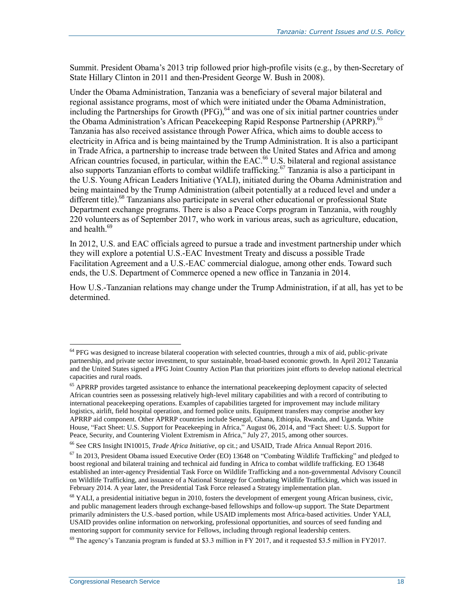Summit. President Obama's 2013 trip followed prior high-profile visits (e.g., by then-Secretary of State Hillary Clinton in 2011 and then-President George W. Bush in 2008).

Under the Obama Administration, Tanzania was a beneficiary of several major bilateral and regional assistance programs, most of which were initiated under the Obama Administration, including the Partnerships for Growth (PFG),<sup>64</sup> and was one of six initial partner countries under the Obama Administration's African Peacekeeping Rapid Response Partnership (APRRP).<sup>65</sup> Tanzania has also received assistance through Power Africa, which aims to double access to electricity in Africa and is being maintained by the Trump Administration. It is also a participant in Trade Africa, a partnership to increase trade between the United States and Africa and among African countries focused, in particular, within the EAC.<sup>66</sup> U.S. bilateral and regional assistance also supports Tanzanian efforts to combat wildlife trafficking.<sup>67</sup> Tanzania is also a participant in the U.S. Young African Leaders Initiative (YALI), initiated during the Obama Administration and being maintained by the Trump Administration (albeit potentially at a reduced level and under a different title).<sup>68</sup> Tanzanians also participate in several other educational or professional State Department exchange programs. There is also a Peace Corps program in Tanzania, with roughly 220 volunteers as of September 2017, who work in various areas, such as agriculture, education, and health. 69

In 2012, U.S. and EAC officials agreed to pursue a trade and investment partnership under which they will explore a potential U.S.-EAC Investment Treaty and discuss a possible Trade Facilitation Agreement and a U.S.-EAC commercial dialogue, among other ends. Toward such ends, the U.S. Department of Commerce opened a new office in Tanzania in 2014.

How U.S.-Tanzanian relations may change under the Trump Administration, if at all, has yet to be determined.

<sup>&</sup>lt;sup>64</sup> PFG was designed to increase bilateral cooperation with selected countries, through a mix of aid, public-private partnership, and private sector investment, to spur sustainable, broad-based economic growth. In April 2012 Tanzania and the United States signed a PFG Joint Country Action Plan that prioritizes joint efforts to develop national electrical capacities and rural roads.

<sup>&</sup>lt;sup>65</sup> APRRP provides targeted assistance to enhance the international peacekeeping deployment capacity of selected African countries seen as possessing relatively high-level military capabilities and with a record of contributing to international peacekeeping operations. Examples of capabilities targeted for improvement may include military logistics, airlift, field hospital operation, and formed police units. Equipment transfers may comprise another key APRRP aid component. Other APRRP countries include Senegal, Ghana, Ethiopia, Rwanda, and Uganda. White House, "Fact Sheet: U.S. Support for Peacekeeping in Africa," August 06, 2014, and "Fact Sheet: U.S. Support for Peace, Security, and Countering Violent Extremism in Africa," July 27, 2015, among other sources.

<sup>66</sup> See CRS Insight IN10015, *Trade Africa Initiative*, op cit.; and USAID, Trade Africa Annual Report 2016.

 $67$  In 2013, President Obama issued Executive Order (EO) 13648 on "Combating Wildlife Trafficking" and pledged to boost regional and bilateral training and technical aid funding in Africa to combat wildlife trafficking. EO 13648 established an inter-agency Presidential Task Force on Wildlife Trafficking and a non-governmental Advisory Council on Wildlife Trafficking, and issuance of a National Strategy for Combating Wildlife Trafficking, which was issued in February 2014. A year later, the Presidential Task Force released a Strategy implementation plan.

<sup>&</sup>lt;sup>68</sup> YALI, a presidential initiative begun in 2010, fosters the development of emergent young African business, civic, and public management leaders through exchange-based fellowships and follow-up support. The State Department primarily administers the U.S.-based portion, while USAID implements most Africa-based activities. Under YALI, USAID provides online information on networking, professional opportunities, and sources of seed funding and mentoring support for community service for Fellows, including through regional leadership centers.

<sup>&</sup>lt;sup>69</sup> The agency's Tanzania program is funded at \$3.3 million in FY 2017, and it requested \$3.5 million in FY2017.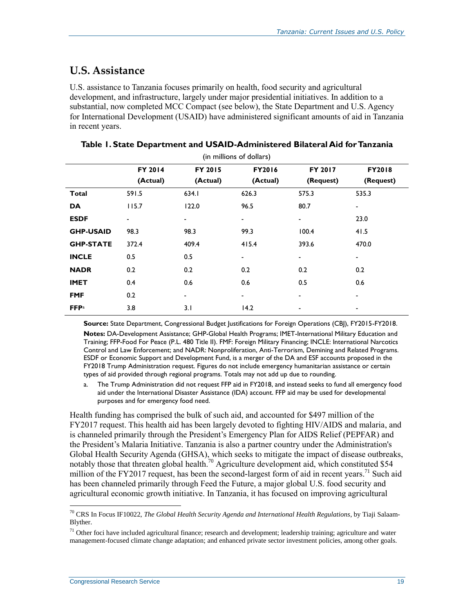#### <span id="page-21-1"></span>**U.S. Assistance**

U.S. assistance to Tanzania focuses primarily on health, food security and agricultural development, and infrastructure, largely under major presidential initiatives. In addition to a substantial, now completed MCC Compact (see below), the State Department and U.S. Agency for International Development (USAID) have administered significant amounts of aid in Tanzania in recent years.

| (in millions of dollars) |          |                          |                          |                |                          |  |  |
|--------------------------|----------|--------------------------|--------------------------|----------------|--------------------------|--|--|
|                          | FY 2014  | <b>FY 2015</b>           | <b>FY2016</b>            | <b>FY 2017</b> | <b>FY2018</b>            |  |  |
|                          | (Actual) | (Actual)                 | (Actual)                 | (Request)      | (Request)                |  |  |
| <b>Total</b>             | 591.5    | 634.I                    | 626.3                    | 575.3          | 535.3                    |  |  |
| <b>DA</b>                | 115.7    | 122.0                    | 96.5                     | 80.7           | $\overline{\phantom{a}}$ |  |  |
| <b>ESDF</b>              | Ξ.       | -                        | $\overline{\phantom{a}}$ | -              | 23.0                     |  |  |
| <b>GHP-USAID</b>         | 98.3     | 98.3                     | 99.3                     | 100.4          | 41.5                     |  |  |
| <b>GHP-STATE</b>         | 372.4    | 409.4                    | 415.4                    | 393.6          | 470.0                    |  |  |
| <b>INCLE</b>             | 0.5      | 0.5                      |                          | -              | $\blacksquare$           |  |  |
| <b>NADR</b>              | 0.2      | 0.2                      | 0.2                      | 0.2            | 0.2                      |  |  |
| <b>IMET</b>              | 0.4      | 0.6                      | 0.6                      | 0.5            | 0.6                      |  |  |
| <b>FMF</b>               | 0.2      | $\overline{\phantom{a}}$ | $\blacksquare$           | -              | $\overline{\phantom{a}}$ |  |  |
| <b>FFPa</b>              | 3.8      | 3.1                      | 14.2                     | -              | ۰                        |  |  |

<span id="page-21-0"></span>

| Table 1. State Department and USAID-Administered Bilateral Aid for Tanzania |
|-----------------------------------------------------------------------------|
| $\sqrt{2}$ $\sqrt{11}$ $\sqrt{2}$ $\sqrt{11}$ $\sqrt{2}$                    |

**Source:** State Department, Congressional Budget Justifications for Foreign Operations (CBJ), FY2015-FY2018. **Notes:** DA-Development Assistance; GHP-Global Health Programs; IMET-International Military Education and Training; FFP-Food For Peace (P.L. 480 Title II). FMF: Foreign Military Financing; INCLE: International Narcotics Control and Law Enforcement; and NADR: Nonproliferation, Anti-Terrorism, Demining and Related Programs. ESDF or Economic Support and Development Fund, is a merger of the DA and ESF accounts proposed in the FY2018 Trump Administration request. Figures do not include emergency humanitarian assistance or certain types of aid provided through regional programs. Totals may not add up due to rounding.

<span id="page-21-2"></span>a. The Trump Administration did not request FFP aid in FY2018, and instead seeks to fund all emergency food aid under the International Disaster Assistance (IDA) account. FFP aid may be used for developmental purposes and for emergency food need.

Health funding has comprised the bulk of such aid, and accounted for \$497 million of the FY2017 request. This health aid has been largely devoted to fighting HIV/AIDS and malaria, and is channeled primarily through the President's Emergency Plan for AIDS Relief (PEPFAR) and the President's Malaria Initiative. Tanzania is also a partner country under the Administration's Global Health Security Agenda (GHSA), which seeks to mitigate the impact of disease outbreaks, notably those that threaten global health.<sup>70</sup> Agriculture development aid, which constituted \$54 million of the FY2017 request, has been the second-largest form of aid in recent years.<sup>71</sup> Such aid has been channeled primarily through Feed the Future, a major global U.S. food security and agricultural economic growth initiative. In Tanzania, it has focused on improving agricultural

 $\overline{a}$ <sup>70</sup> CRS In Focus IF10022, *The Global Health Security Agenda and International Health Regulations*, by Tiaji Salaam-Blyther.

 $71$  Other foci have included agricultural finance; research and development; leadership training; agriculture and water management-focused climate change adaptation; and enhanced private sector investment policies, among other goals.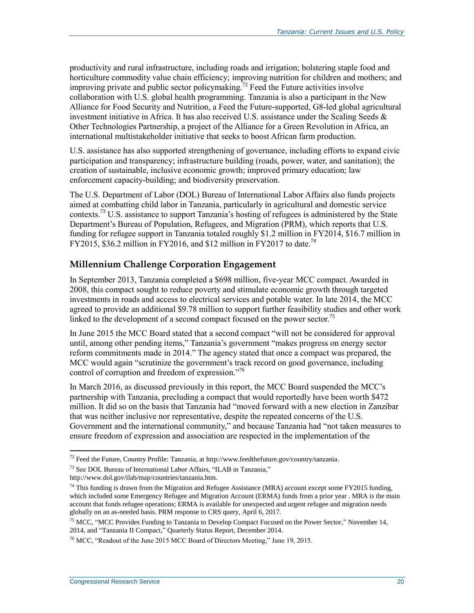productivity and rural infrastructure, including roads and irrigation; bolstering staple food and horticulture commodity value chain efficiency; improving nutrition for children and mothers; and improving private and public sector policymaking.<sup>72</sup> Feed the Future activities involve collaboration with U.S. global health programming. Tanzania is also a participant in the New Alliance for Food Security and Nutrition, a Feed the Future-supported, G8-led global agricultural investment initiative in Africa. It has also received U.S. assistance under the Scaling Seeds  $\&$ Other Technologies Partnership, a project of the Alliance for a Green Revolution in Africa, an international multistakeholder initiative that seeks to boost African farm production.

U.S. assistance has also supported strengthening of governance, including efforts to expand civic participation and transparency; infrastructure building (roads, power, water, and sanitation); the creation of sustainable, inclusive economic growth; improved primary education; law enforcement capacity-building; and biodiversity preservation.

The U.S. Department of Labor (DOL) Bureau of International Labor Affairs also funds projects aimed at combatting child labor in Tanzania, particularly in agricultural and domestic service contexts.<sup>73</sup> U.S. assistance to support Tanzania's hosting of refugees is administered by the State Department's Bureau of Population, Refugees, and Migration (PRM), which reports that U.S. funding for refugee support in Tanzania totaled roughly \$1.2 million in FY2014, \$16.7 million in FY2015, \$36.2 million in FY2016, and \$12 million in FY2017 to date.<sup>74</sup>

#### **Millennium Challenge Corporation Engagement**

In September 2013, Tanzania completed a \$698 million, five-year MCC compact. Awarded in 2008, this compact sought to reduce poverty and stimulate economic growth through targeted investments in roads and access to electrical services and potable water. In late 2014, the MCC agreed to provide an additional \$9.78 million to support further feasibility studies and other work linked to the development of a second compact focused on the power sector.<sup>75</sup>

In June 2015 the MCC Board stated that a second compact "will not be considered for approval until, among other pending items," Tanzania's government "makes progress on energy sector reform commitments made in 2014." The agency stated that once a compact was prepared, the MCC would again "scrutinize the government's track record on good governance, including control of corruption and freedom of expression."<sup>76</sup>

In March 2016, as discussed previously in this report, the MCC Board suspended the MCC's partnership with Tanzania, precluding a compact that would reportedly have been worth \$472 million. It did so on the basis that Tanzania had "moved forward with a new election in Zanzibar that was neither inclusive nor representative, despite the repeated concerns of the U.S. Government and the international community," and because Tanzania had "not taken measures to ensure freedom of expression and association are respected in the implementation of the

 $72$  Feed the Future, Country Profile: Tanzania, at http://www.feedthefuture.gov/country/tanzania.

<sup>73</sup> See DOL Bureau of International Labor Affairs, "ILAB in Tanzania," http://www.dol.gov/ilab/map/countries/tanzania.htm.

<sup>&</sup>lt;sup>74</sup> This funding is drawn from the Migration and Refugee Assistance (MRA) account except some FY2015 funding, which included some Emergency Refugee and Migration Account (ERMA) funds from a prior year . MRA is the main account that funds refugee operations; ERMA is available for unexpected and urgent refugee and migration needs globally on an as-needed basis. PRM response to CRS query, April 6, 2017.

<sup>&</sup>lt;sup>75</sup> MCC, "MCC Provides Funding to Tanzania to Develop Compact Focused on the Power Sector," November 14, 2014, and "Tanzania II Compact," Quarterly Status Report, December 2014.

<sup>76</sup> MCC, "Readout of the June 2015 MCC Board of Directors Meeting," June 19, 2015.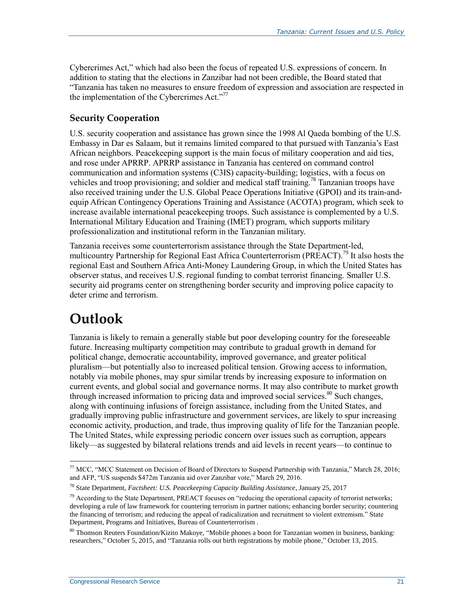Cybercrimes Act," which had also been the focus of repeated U.S. expressions of concern. In addition to stating that the elections in Zanzibar had not been credible, the Board stated that "Tanzania has taken no measures to ensure freedom of expression and association are respected in the implementation of the Cybercrimes Act."<sup>77</sup>

#### <span id="page-23-0"></span>**Security Cooperation**

U.S. security cooperation and assistance has grown since the 1998 Al Qaeda bombing of the U.S. Embassy in Dar es Salaam, but it remains limited compared to that pursued with Tanzania's East African neighbors. Peacekeeping support is the main focus of military cooperation and aid ties, and rose under APRRP. APRRP assistance in Tanzania has centered on command control communication and information systems (C3IS) capacity-building; logistics, with a focus on vehicles and troop provisioning; and soldier and medical staff training.<sup>78</sup> Tanzanian troops have also received training under the U.S. Global Peace Operations Initiative (GPOI) and its train-andequip African Contingency Operations Training and Assistance (ACOTA) program, which seek to increase available international peacekeeping troops. Such assistance is complemented by a U.S. International Military Education and Training (IMET) program, which supports military professionalization and institutional reform in the Tanzanian military.

Tanzania receives some counterterrorism assistance through the State Department-led, multicountry Partnership for Regional East Africa Counterterrorism (PREACT).<sup>79</sup> It also hosts the regional East and Southern Africa Anti-Money Laundering Group, in which the United States has observer status, and receives U.S. regional funding to combat terrorist financing. Smaller U.S. security aid programs center on strengthening border security and improving police capacity to deter crime and terrorism.

## **Outlook**

 $\overline{a}$ 

Tanzania is likely to remain a generally stable but poor developing country for the foreseeable future. Increasing multiparty competition may contribute to gradual growth in demand for political change, democratic accountability, improved governance, and greater political pluralism—but potentially also to increased political tension. Growing access to information, notably via mobile phones, may spur similar trends by increasing exposure to information on current events, and global social and governance norms. It may also contribute to market growth through increased information to pricing data and improved social services.<sup>80</sup> Such changes, along with continuing infusions of foreign assistance, including from the United States, and gradually improving public infrastructure and government services, are likely to spur increasing economic activity, production, and trade, thus improving quality of life for the Tanzanian people. The United States, while expressing periodic concern over issues such as corruption, appears likely—as suggested by bilateral relations trends and aid levels in recent years—to continue to

<sup>&</sup>lt;sup>77</sup> MCC, "MCC Statement on Decision of Board of Directors to Suspend Partnership with Tanzania," March 28, 2016; and AFP, "US suspends \$472m Tanzania aid over Zanzibar vote," March 29, 2016.

<sup>78</sup> State Department, *Factsheet: U.S. Peacekeeping Capacity Building Assistance*, January 25, 2017

 $^{79}$  According to the State Department, PREACT focuses on "reducing the operational capacity of terrorist networks; developing a rule of law framework for countering terrorism in partner nations; enhancing border security; countering the financing of terrorism; and reducing the appeal of radicalization and recruitment to violent extremism." State Department, Programs and Initiatives, Bureau of Counterterrorism .

<sup>80</sup> Thomson Reuters Foundation/Kizito Makoye, "Mobile phones a boon for Tanzanian women in business, banking: researchers," October 5, 2015, and "Tanzania rolls out birth registrations by mobile phone," October 13, 2015.